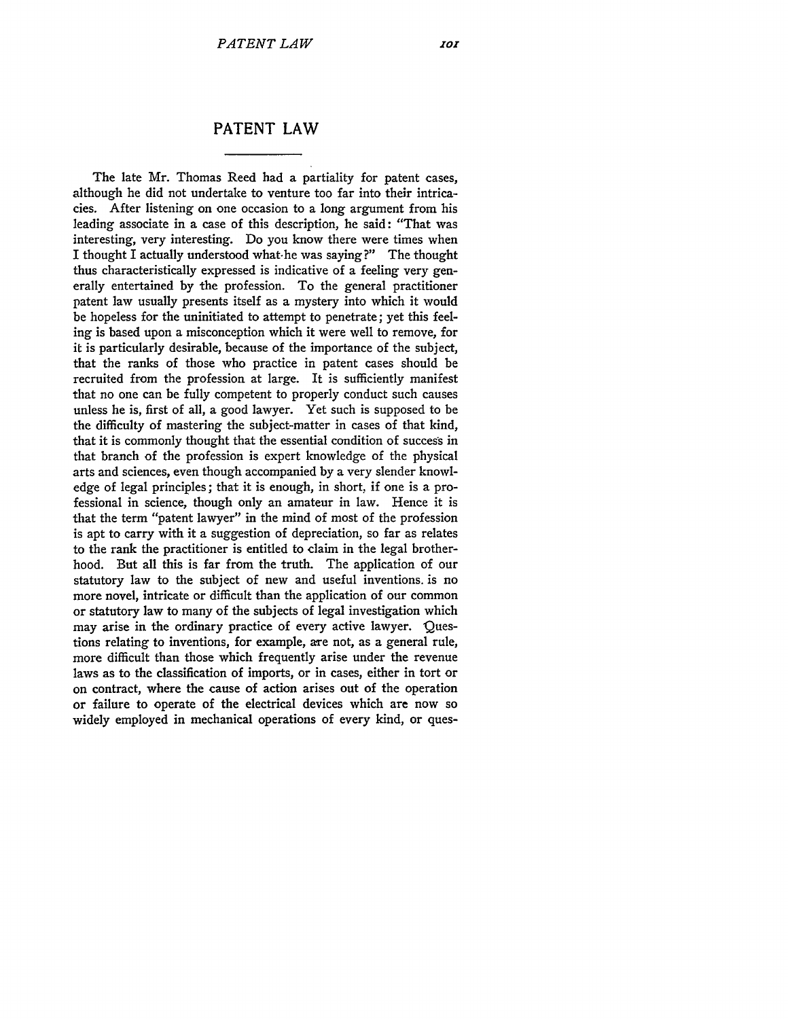## **PATENT** LAW

The late Mr. Thomas Reed had a partiality for patent cases, although he did not undertake to venture too far into their intricacies. After listening on one occasion to a long argument from his leading associate in a case of this description, he said: "That was interesting, very interesting. Do you know there were times when I thought I actually understood what-he was saying?" The thought thus characteristically expressed is indicative of a feeling very generally entertained by the profession. To the general practitioner patent law usually presents itself as a mystery into which it would be hopeless for the uninitiated to attempt to penetrate; yet this feeling is based upon a misconception which it were well to remove, for it is particularly desirable, because of the importance of the subject, that the ranks of those who practice in patent cases should be recruited from the profession at large. It is sufficiently manifest that no one can be fully competent to properly conduct such causes unless he is, first of all, a good lawyer. Yet such is supposed to be the difficulty of mastering the subject-matter in cases of that kind, that it is commonly thought that the essential condition of success in that branch of the profession is expert knowledge of the physical arts and sciences, even though accompanied by a very slender knowledge of legal principles; that it is enough, in short, if one is a professional in science, though only an amateur in law. Hence it is that the term "patent lawyer" in the mind of most of the profession is apt to carry with it a suggestion of depreciation, so far as relates to the rank the practitioner is entitled to claim in the legal brotherhood. But all this is far from the truth. The application of our statutory law to the subject of new and useful inventions, is no more novel, intricate or difficult than the application of our common or statutory law to many of the subjects of legal investigation which may arise in the ordinary practice of every active lawyer. Questions relating to inventions, for example, are not, as a general rule, more difficult than those which frequently arise under the revenue laws as to the classification of imports, or in cases, either in tort or on contract, where the cause of action arises out of the operation or failure to operate of the electrical devices which are now so widely employed in mechanical operations of every kind, or ques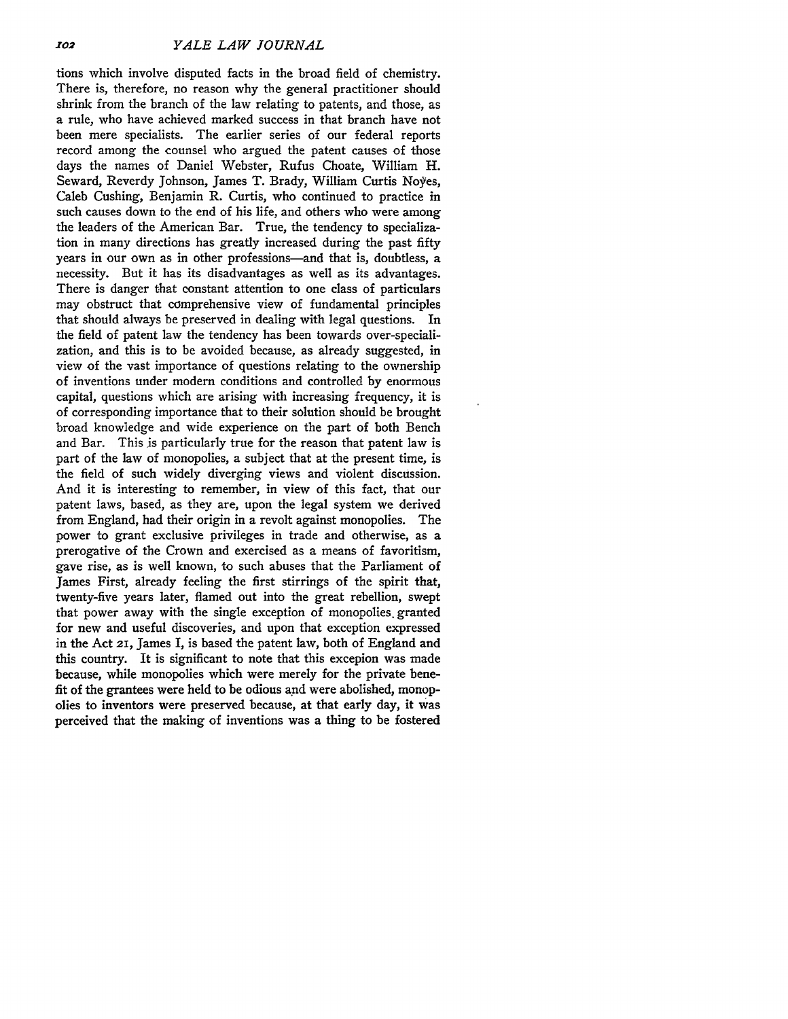tions which involve disputed facts in the broad field of chemistry. There is, therefore, no reason why the general practitioner should shrink from the branch of the law relating to patents, and those, as a rule, who have achieved marked success in that branch have not been mere specialists. The earlier series of our federal reports record among the counsel who argued the patent causes of those days the names of Daniel Webster, Rufus Choate, William H. Seward, Reverdy Johnson, James T. Brady, William Curtis Noves, Caleb Cushing, Benjamin R. Curtis, who continued to practice in such causes down to the end of his life, and others who were among the leaders of the American Bar. True, the tendency to specialization in many directions has greatly increased during the past fifty years in our own as in other professions-and that is, doubtless, a necessity. But it has its disadvantages as well as its advantages. There is danger that constant attention to one class of particulars may obstruct that comprehensive view of fundamental principles that should always be preserved in dealing with legal questions. In the field of patent law the tendency has been towards over-specialization, and this is to be avoided because, as already suggested, in view of the vast importance of questions relating to the ownership of inventions under modern conditions and controlled by enormous capital, questions which are arising with increasing frequency, it is of corresponding importance that to their solution should be brought broad knowledge and wide experience on the part of both Bench and Bar. This is particularly true for the reason that patent law is part of the law of monopolies, a subject that at the present time, is the field of such widely diverging views and violent discussion. And it is interesting to remember, in view of this fact, that our patent laws, based, as they are, upon the legal system we derived from England, had their origin in a revolt against monopolies. The power to grant exclusive privileges in trade and otherwise, as a prerogative of the Crown and exercised as a means of favoritism, gave rise, as is well known, to such abuses that the Parliament of James First, already feeling the first stirrings of the spirit that, twenty-five years later, flamed out into the great rebellion, swept that power away with the single exception of monopolies, granted for new and useful discoveries, and upon that exception expressed in the Act **21,** James **I,** is based the patent law, both of England and this country. It is significant to note that this excepion was made because, while monopolies which were merely for the private benefit of the grantees were held to be odious and were abolished, monopolies to inventors were preserved because, at that early day, it was perceived that the making of inventions was a thing to be fostered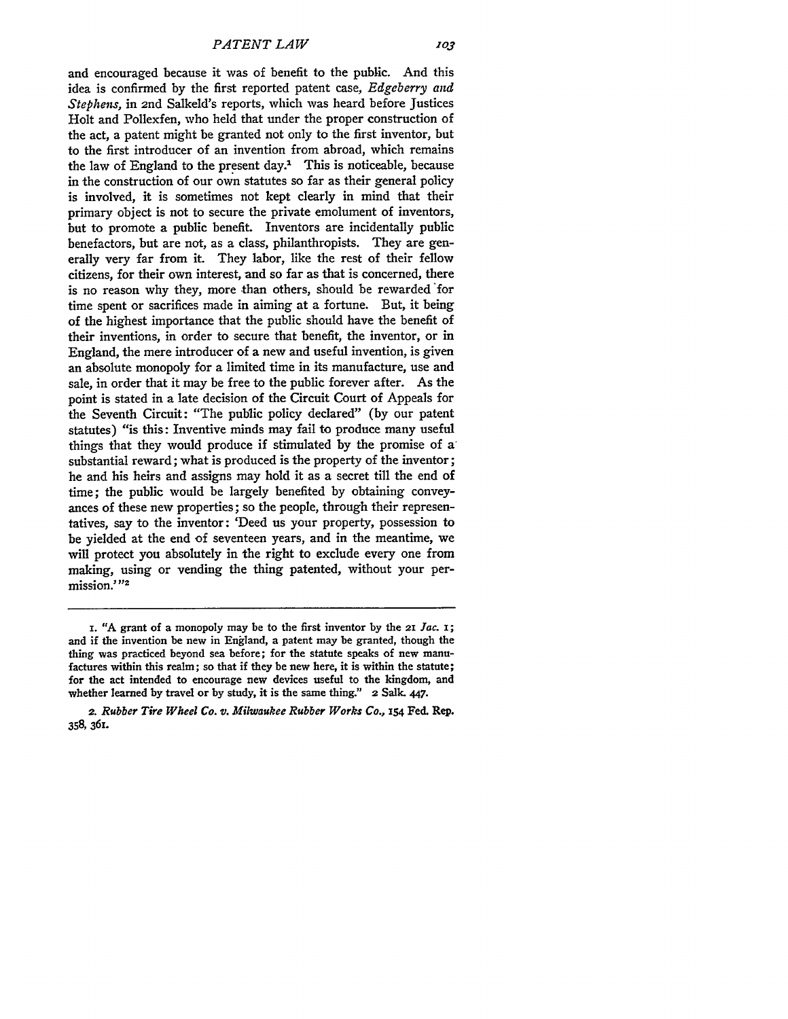and encouraged because it was of benefit to the public. And this idea is confirmed by the first reported patent case, *Edgeberry and Stephens,* in 2nd Salkeld's reports, which was heard before Justices Holt and Pollexfen, who held that under the proper construction of the act, a patent might be granted not only to the first inventor, but to the first introducer of an invention from abroad, which remains the law of England to the present day.<sup>1</sup> This is noticeable, because in the construction of our own statutes so far as their general policy is involved, it is sometimes not kept clearly in mind that their primary object is not to secure the private emolument of inventors, but to promote a public benefit. Inventors are incidentally public benefactors, but are not, as a class, philanthropists. They are generally very far from it. They labor, like the rest of their fellow citizens, for their own interest, and so far as that is concerned, there is no reason why they, more than others, should be rewarded for time spent or sacrifices made in aiming at a fortune. But, it being of the highest importance that the public should have the benefit of their inventions, in order to secure that benefit, the inventor, or in England, the mere introducer of a new and useful invention, is given an absolute monopoly for a limited time in its manufacture, use and sale, in order that it may be free to the public forever after. As the point is stated in a late decision of the Circuit Court of Appeals for the Seventh Circuit: "The public policy declared" **(by** our patent statutes) "is this: Inventive minds may fail to produce many useful things that they would produce if stimulated **by** the promise of a substantial reward; what is produced is the property of the inventor; he and his heirs and assigns may hold it as a secret till the end of time; the public would be largely benefited **by** obtaining conveyances of these new properties; so the people, through their representatives, say to the inventor: 'Deed us your property, possession to be yielded at the end of seventeen years, and in the meantime, we will protect you absolutely in the right to exclude every one from making, using or vending the thing patented, without your permission.'"<sup>2</sup>

**i.** "A grant of a monopoly may be to the first inventor **by** the **21** *Jac. x;* and if the invention be new in England, a patent may be granted, though the thing was practiced beyond sea before; for the statute speaks of new manufactures within this realm; so that if they be new here, it is within the statute; for the act intended to encourage new devices useful to the kingdom, and whether learned **by** travel or **by** study, it is the same thing." 2 Salk. 447.

**<sup>2.</sup>** *Rubber Tire Wheel Co. v. Milwaukee Rubber Works Co.,* **154** Fed. Rep. 358, 361.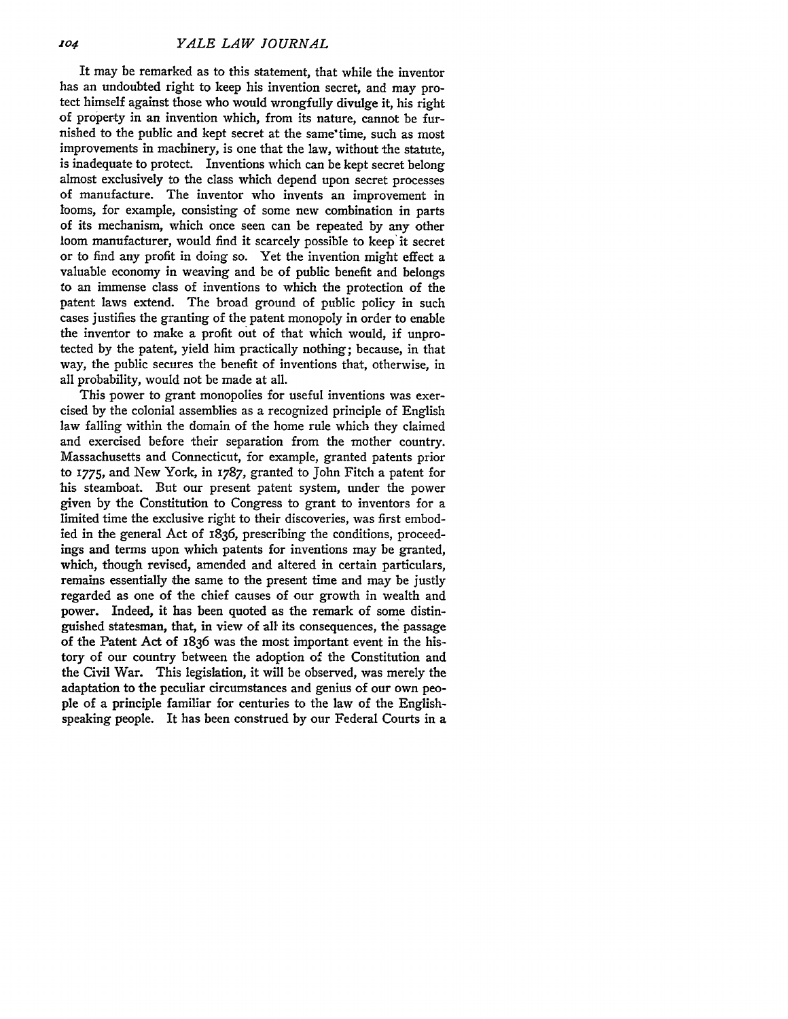It may be remarked as to this statement, that while the inventor has an undoubted right to keep his invention secret, and may protect himself against those who would wrongfully divulge it, his right of property in an invention which, from its nature, cannot be furnished to the public and kept secret at the same'time, such as most improvements in machinery, is one that the law, without the statute, is inadequate to protect. Inventions which can be kept secret belong almost exclusively to the class which depend upon secret processes of manufacture. The inventor who invents an improvement in looms, for example, consisting of some new combination in parts of its mechanism, which once seen can be repeated by any other loom manufacturer, would find it scarcely possible to keep it secret or to find any profit in doing so. Yet the invention might effect a valuable economy in weaving and be of public benefit and belongs to an immense class of inventions to which the protection of the patent laws extend. The broad ground of public policy in such cases justifies the granting of the patent monopoly in order to enable the inventor to make a profit out of that which would, if unprotected by the patent, yield him practically nothing; because, in that way, the public secures the benefit of inventions that, otherwise, in all probability, would not be made at all.

This power to grant monopolies for useful inventions was exercised by the colonial assemblies as a recognized principle of English law falling within the domain of the home rule which they claimed and exercised before their separation from the mother country. Massachusetts and Connecticut, for example, granted patents prior to 1775, and New York, in 1787, granted to John Fitch a patent for his steamboat. But our present patent system, under the power given by the Constitution to Congress to grant to inventors for a limited time the exclusive right to their discoveries, was first embodied in the general Act of 1836, prescribing the conditions, proceedings and terms upon which patents for inventions may be granted, which, though revised, amended and altered in certain particulars, remains essentially the same to the present time and may be justly regarded as one of the chief causes of our growth in wealth and power. Indeed, it has been quoted as the remark of some distinguished statesman, that, in view of all its consequences, the passage of the Patent Act of 1836 was the most important event in the history of our country between the adoption of the Constitution and the Civil War. This legislation, it will be observed, was merely the adaptation to the peculiar circumstances and genius of our own people of a principle familiar for centuries to the law of the Englishspeaking people. It has been construed by our Federal Courts in a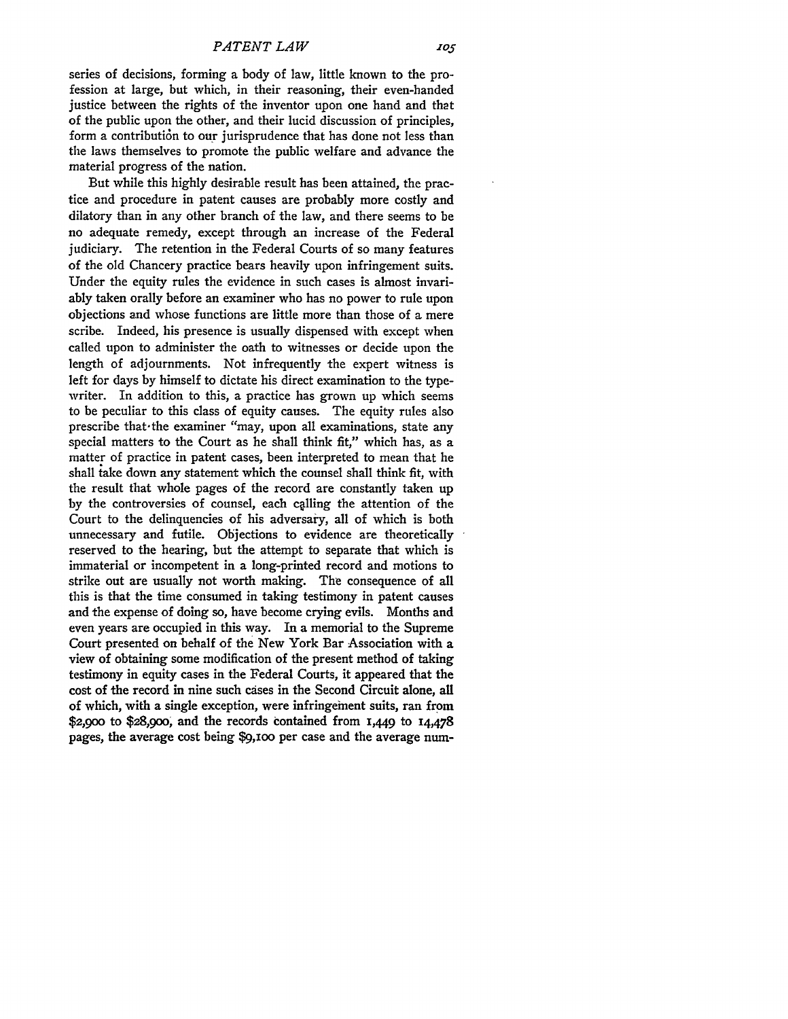series of decisions, forming a body of law, little known to the profession at large, but which, in their reasoning, their even-banded justice between the rights of the inventor upon one hand and that of the public upon the other, and their lucid discussion of principles, form a contribution to our jurisprudence that has done not less than the laws themselves to promote the public welfare and advance the material progress of the nation.

But while this **highly** desirable result has been attained, the practice and procedure in patent causes are probably more costly and dilatory than in any other branch of the law, and there seems to be no adequate remedy, except through an increase of the Federal judiciary. The retention in the Federal Courts of so many features of the old Chancery practice bears heavily upon infringement suits. Under the equity rules the evidence in such cases is almost invariably taken orally before an examiner who has no power to rule upon objections and whose functions are little more than those of a mere scribe. Indeed, his presence is usually dispensed with except when called upon to administer the oath to witnesses or decide upon the length of adjournments. Not infrequently the expert witness is left for days **by** himself to dictate his direct examination to the typewriter. In addition to this, a practice has grown up which seems to be peculiar to this class of equity causes. The equity rules also prescribe that-the examiner "may, upon all examinations, state any special matters to the Court as he shall think *fit,"* which has, as a matter of practice in patent cases, been interpreted to mean that he shall take down any statement which the counsel shall think fit, with the result that whole pages of the record are constantly taken up by the controversies of counsel, each calling the attention of the Court to the delinquencies of his adversary, all of which is both unnecessary and futile. Objections to evidence are theoretically reserved to the hearing, but the attempt to separate that which is immaterial or incompetent in a long-printed record and motions to strike out are usually not worth making. The consequence of all this is that the time consumed in taking testimony in patent causes and the expense of doing so, have become crying evils. Months and even years are occupied in this way. In a memorial to the Supreme Court presented on behalf of the New York Bar Association with a view of obtaining some modification of the present method of taking testimony in equity cases in the Federal Courts, it appeared that the cost of the record in nine such cases in the Second Circuit alone, **all** of which, with a single exception, were infringement suits, ran from **\$2,9oo** to \$28,9oo, and the records contained from **1,449** to 14478 pages, the average cost being \$9,Ioo per case and the average **num-**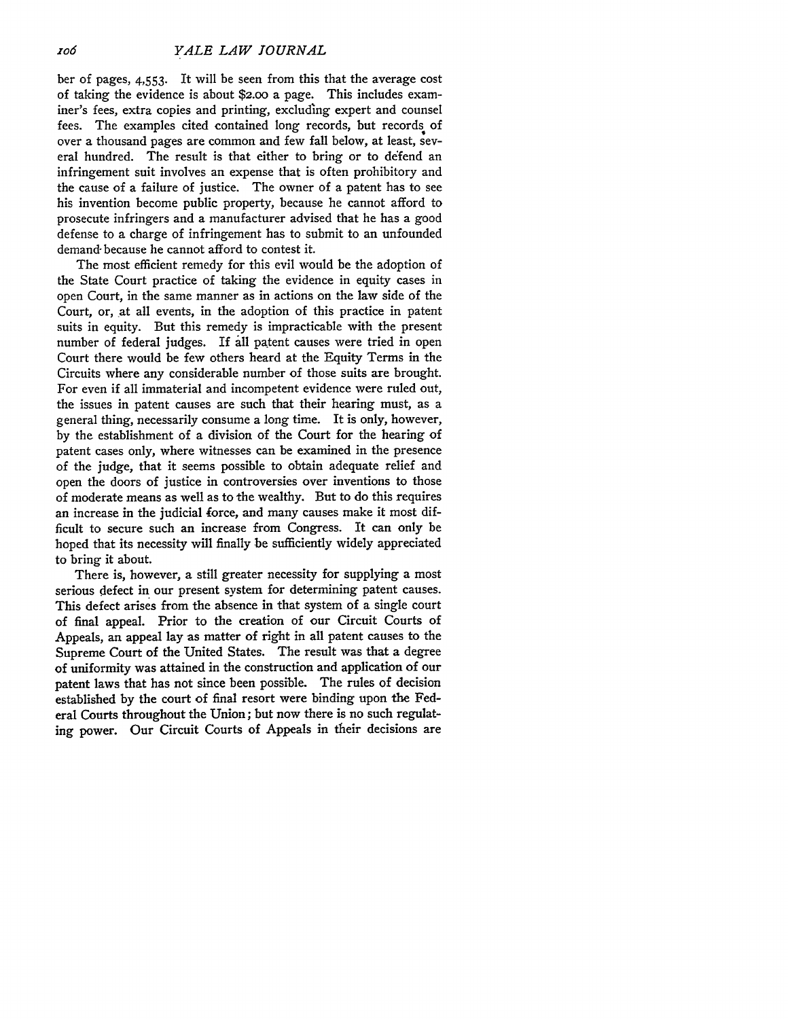ber of pages, 4,553. It will be seen from this that the average cost of taking the evidence is about \$2.oo a page. This includes examiner's fees, extra copies and printing, excluding expert and counsel fees. The examples cited contained long records, but records of over a thousand pages are common and few fall below, at least, several hundred. The result is that either to bring or to defend an infringement suit involves an expense that is often prohibitory and the cause of a failure of justice. The owner of a patent has to see his invention become public property, because he cannot afford to prosecute infringers and a manufacturer advised that he has a good defense to a charge of infringement has to submit to an unfounded demand- because he cannot afford to contest it.

The most efficient remedy for this evil would be the adoption of the State Court practice of taking the evidence in equity cases in open Court, in the same manner as in actions on the law side of the Court, or, at all events, in the adoption of this practice in patent suits in equity. But this remedy is impracticable with the present number of federal judges. If all patent causes were tried in open Court there would be few others heard at the Equity Terms in the Circuits where any considerable number of those suits are brought. For even if all immaterial and incompetent evidence were ruled out, the issues in patent causes are such that their hearing must, as a general thing, necessarily consume a long time. It is only, however, by the establishment of a division of the Court for the hearing of patent cases only, where witnesses can be examined in the presence of the judge, that it seems possible to obtain adequate relief and open the doors of justice in controversies over inventions to those of moderate means as well as to the wealthy. But to do this requires an increase in the judicial force, and many causes make it most difficult to secure such an increase from Congress. It can only be hoped that its necessity will finally be sufficiently widely appreciated to bring it about.

There is, however, a still greater necessity for supplying a most serious defect in our present system for determining patent causes. This defect arises from the absence in that system of a single court of final appeal. Prior to the creation of our Circuit Courts of Appeals, an appeal lay as matter of right in all patent causes to the Supreme Court of the United States. The result was that a degree of uniformity was attained in the construction and application of our patent laws that has not since been possible. The rules of decision established by the court of final resort were binding upon the Federal Courts throughout the Union; but now there is no such regulating power. Our Circuit Courts of Appeals in their decisions are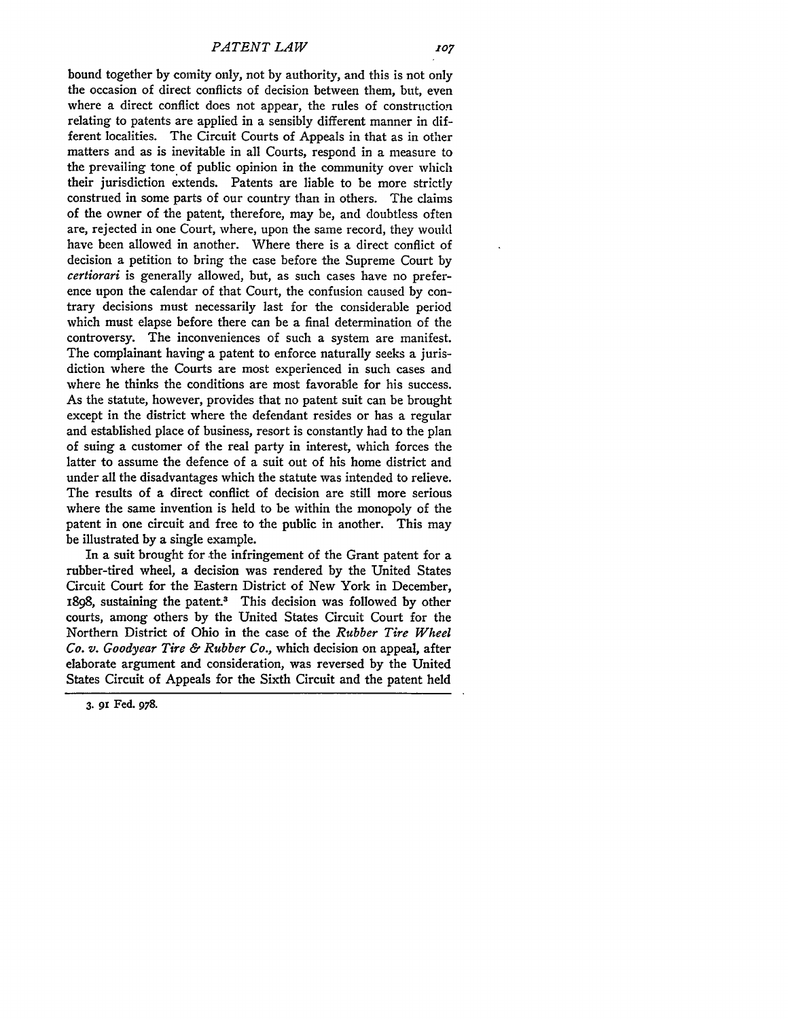bound together by comity only, not by authority, and this is not only the occasion of direct conflicts of decision between them, but, even where a direct conflict does not appear, the rules of construction relating to patents are applied in a sensibly different manner in different localities. The Circuit Courts of Appeals in that as in other matters and as is inevitable in all Courts, respond in a measure to the prevailing tone of public opinion in the community over which their jurisdiction extends. Patents are liable to be more strictly construed in some parts of our country than in others. The claims of the owner of the patent, therefore, may be, and doubtless often are, rejected in one Court, where, upon the same record, they would have been allowed in another. Where there is a direct conflict of decision a petition to bring the case before the Supreme Court by *certiorari* is generally allowed, but, as such cases have no preference upon the calendar of that Court, the confusion caused by contrary decisions must necessarily last for the considerable period which must elapse before there can be a final determination of the controversy. The inconveniences of such a system are manifest. The complainant having a patent to enforce naturally seeks a jurisdiction where the Courts are most experienced in such cases and where he thinks the conditions are most favorable for his success. As the statute, however, provides that no patent suit can be brought except in the district where the defendant resides or has a regular and established place of business, resort is constantly had to the plan of suing a customer of the real party in interest, which forces the latter to assume the defence of a suit out of his home district and under all the disadvantages which the statute was intended to relieve. The results of a direct conflict of decision are still more serious where the same invention is held to be within the monopoly of the patent in one circuit and free to the public in another. This may be illustrated by a single example.

In a suit brought for the infringement of the Grant patent for a rubber-tired wheel, a decision was rendered by the United States Circuit Court for the Eastern District of New York in December, 1898, sustaining the patent.3 This decision was followed by other courts, among others by the United States Circuit Court for the Northern District of Ohio in the case of the *Rubber Tire Wheel Co. v. Goodyear Tire & Rubber Co.,* which decision on appeal, after elaborate argument and consideration, was reversed by the United States Circuit of Appeals for the Sixth Circuit and the patent held

**<sup>3.</sup>** 91 Fed. **978.**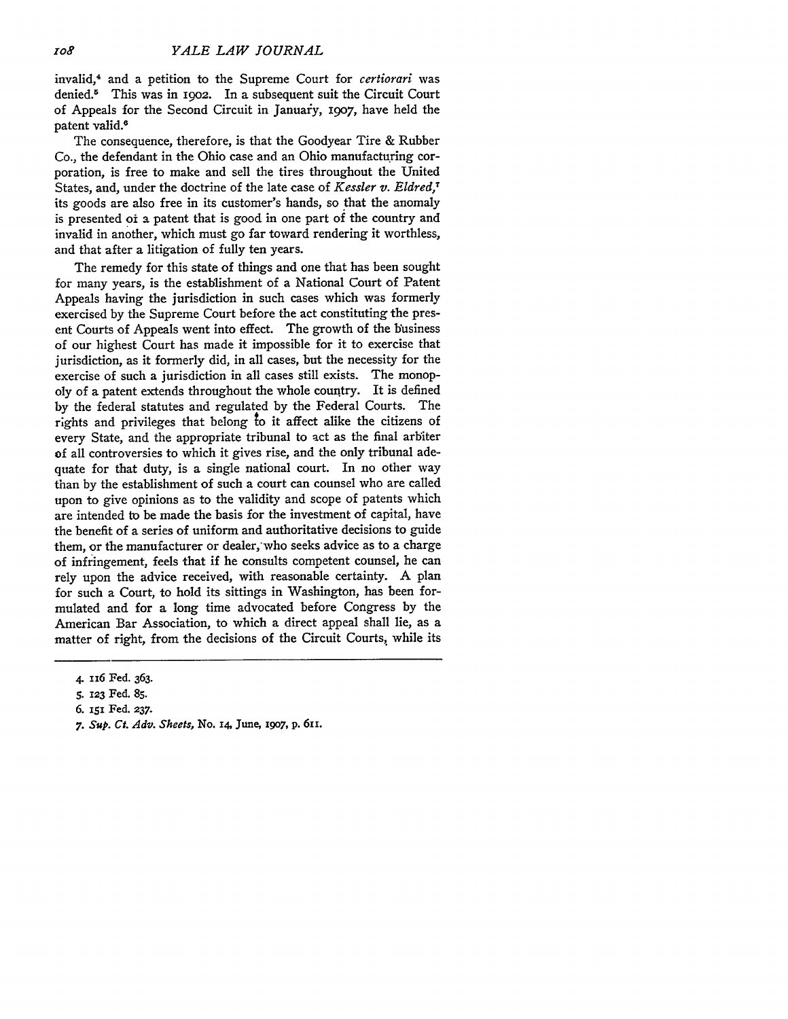invalid,4 and a petition to the Supreme Court for *certiorari* was denied.5 This was in 19o2. In a subsequent suit the Circuit Court of Appeals for the Second Circuit in January, 19o7, have held the patent valid.<sup>6</sup>

The consequence, therefore, is that the Goodyear Tire & Rubber Co., the defendant in the Ohio case and an Ohio manufacturing corporation, is free to make and sell the tires throughout the United States, and, under the doctrine of the late case of *Kessler v. Eldred,7* its goods are also free in its customer's hands, so that the anomaly is presented at a patent that is good in one part of the country and invalid in another, which must go far toward rendering it worthless, and that after a litigation of fully ten years.

The remedy for this state of things and one that has been sought for many years, is the establishment of a National Court of Patent Appeals having the jurisdiction in such cases which was formerly exercised by the Supreme Court before the act constituting the present Courts of Appeals went into effect. The growth of the business of our highest Court has made it impossible for it to exercise that jurisdiction, as it formerly did, in all cases, but the necessity for the exercise of such a jurisdiction in all cases still exists. The monopoly of a patent extends throughout the whole country. It is defined by the federal statutes and regulated by the Federal Courts. The rights and privileges that belong to it affect alike the citizens of every State, and the appropriate tribunal to act as the final arbiter of all controversies to which it gives rise, and the only tribunal adequate for that duty, is a single national court. In no other way than by the establishment of such a court can counsel who are called upon to give opinions as to the validity and scope of patents which are intended to be made the basis for the investment of capital, have the benefit of a series of uniform and authoritative decisions to guide them, or the manufacturer or dealer, who seeks advice as to a charge of infringement, feels that if he consults competent counsel, he can rely upon the advice received, with reasonable certainty. A plan for such a Court, to hold its sittings in Washington, has been formulated and for a long time advocated before Congress by the American Bar Association, to which a direct appeal shall lie, as a matter of right, from the decisions of the Circuit Courts, while its

<sup>4. 116</sup> Fed. 363.

<sup>5.</sup> **123** Fed. **85.**

<sup>6.</sup> **151 Fed. 237.** 

*<sup>7.</sup> Sup. Ct. Adv. Sheets,* **No. 14,** June, 19o7, **p.** 61r.